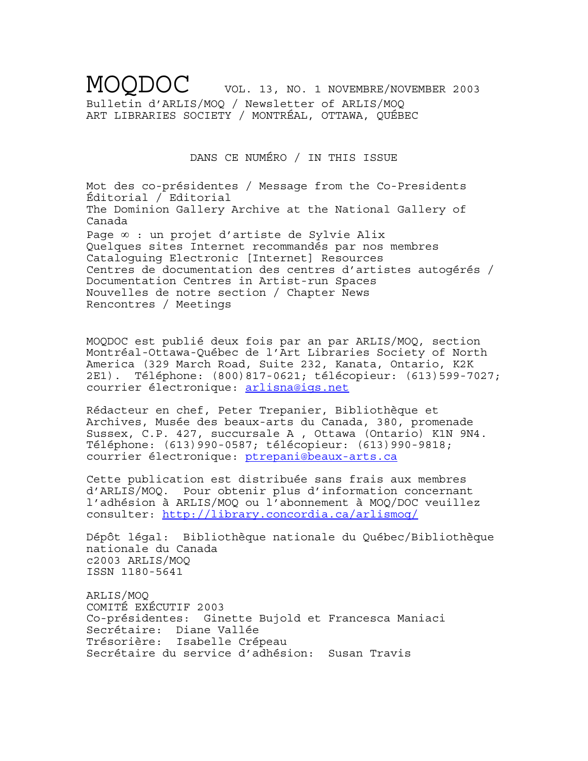MOODOC VOL. 13, NO. 1 NOVEMBRE/NOVEMBER 2003 Bulletin d'ARLIS/MOQ / Newsletter of ARLIS/MOQ ART LIBRARIES SOCIETY / MONTRÉAL, OTTAWA, QUÉBEC

DANS CE NUMÉRO / IN THIS ISSUE

Mot des co-présidentes / Message from the Co-Presidents Éditorial / Editorial The Dominion Gallery Archive at the National Gallery of Canada Page ∞ : un projet d'artiste de Sylvie Alix Quelques sites Internet recommandés par nos membres Cataloguing Electronic [Internet] Resources Centres de documentation des centres d'artistes autogérés / Documentation Centres in Artist-run Spaces Nouvelles de notre section / Chapter News Rencontres / Meetings

MOQDOC est publié deux fois par an par ARLIS/MOQ, section Montréal-Ottawa-Québec de l'Art Libraries Society of North America (329 March Road, Suite 232, Kanata, Ontario, K2K 2E1). Téléphone: (800)817-0621; télécopieur: (613)599-7027; courrier électronique: arlisna@igs.net

Rédacteur en chef, Peter Trepanier, Bibliothèque et Archives, Musée des beaux-arts du Canada, 380, promenade Sussex, C.P. 427, succursale A , Ottawa (Ontario) K1N 9N4. Téléphone: (613)990-0587; télécopieur: (613)990-9818; courrier électronique: ptrepani@beaux-arts.ca

Cette publication est distribuée sans frais aux membres d'ARLIS/MOQ. Pour obtenir plus d'information concernant l'adhésion à ARLIS/MOQ ou l'abonnement à MOQ/DOC veuillez consulter: http://library.concordia.ca/arlismoq/

Dépôt légal: Bibliothèque nationale du Québec/Bibliothèque nationale du Canada c2003 ARLIS/MOQ ISSN 1180-5641

ARLIS/MOQ COMITÉ EXÉCUTIF 2003 Co-présidentes: Ginette Bujold et Francesca Maniaci Secrétaire: Diane Vallée Trésorière: Isabelle Crépeau Secrétaire du service d'adhésion: Susan Travis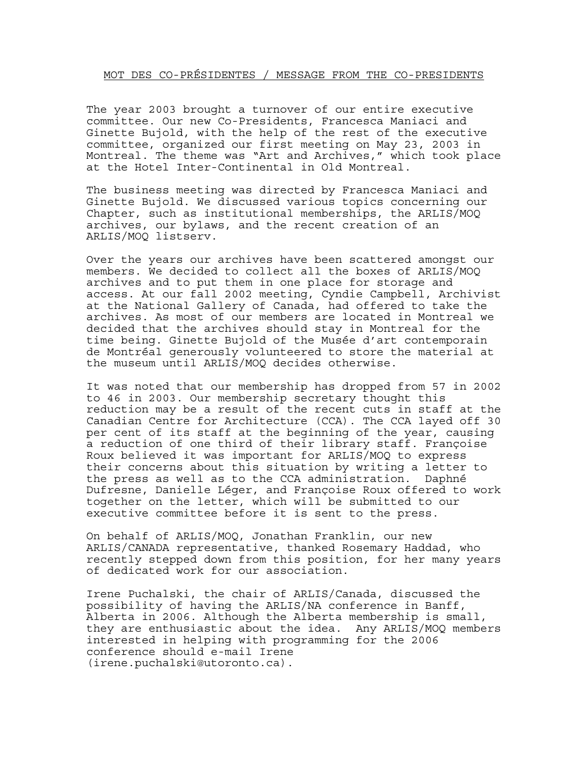# MOT DES CO-PRÉSIDENTES / MESSAGE FROM THE CO-PRESIDENTS

The year 2003 brought a turnover of our entire executive committee. Our new Co-Presidents, Francesca Maniaci and Ginette Bujold, with the help of the rest of the executive committee, organized our first meeting on May 23, 2003 in Montreal. The theme was "Art and Archives," which took place at the Hotel Inter-Continental in Old Montreal.

The business meeting was directed by Francesca Maniaci and Ginette Bujold. We discussed various topics concerning our Chapter, such as institutional memberships, the ARLIS/MOQ archives, our bylaws, and the recent creation of an ARLIS/MOQ listserv.

Over the years our archives have been scattered amongst our members. We decided to collect all the boxes of ARLIS/MOQ archives and to put them in one place for storage and access. At our fall 2002 meeting, Cyndie Campbell, Archivist at the National Gallery of Canada, had offered to take the archives. As most of our members are located in Montreal we decided that the archives should stay in Montreal for the time being. Ginette Bujold of the Musée d'art contemporain de Montréal generously volunteered to store the material at the museum until ARLIS/MOQ decides otherwise.

It was noted that our membership has dropped from 57 in 2002 to 46 in 2003. Our membership secretary thought this reduction may be a result of the recent cuts in staff at the Canadian Centre for Architecture (CCA). The CCA layed off 30 per cent of its staff at the beginning of the year, causing a reduction of one third of their library staff. Françoise Roux believed it was important for ARLIS/MOQ to express their concerns about this situation by writing a letter to the press as well as to the CCA administration. Daphné Dufresne, Danielle Léger, and Françoise Roux offered to work together on the letter, which will be submitted to our executive committee before it is sent to the press.

On behalf of ARLIS/MOQ, Jonathan Franklin, our new ARLIS/CANADA representative, thanked Rosemary Haddad, who recently stepped down from this position, for her many years of dedicated work for our association.

Irene Puchalski, the chair of ARLIS/Canada, discussed the possibility of having the ARLIS/NA conference in Banff, Alberta in 2006. Although the Alberta membership is small, they are enthusiastic about the idea. Any ARLIS/MOQ members interested in helping with programming for the 2006 conference should e-mail Irene (irene.puchalski@utoronto.ca).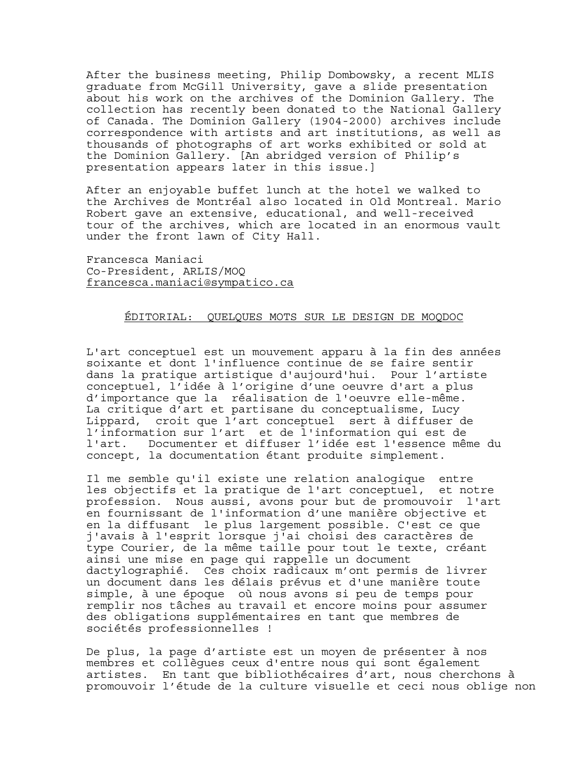After the business meeting, Philip Dombowsky, a recent MLIS graduate from McGill University, gave a slide presentation about his work on the archives of the Dominion Gallery. The collection has recently been donated to the National Gallery of Canada. The Dominion Gallery (1904-2000) archives include correspondence with artists and art institutions, as well as thousands of photographs of art works exhibited or sold at the Dominion Gallery. [An abridged version of Philip's presentation appears later in this issue.]

After an enjoyable buffet lunch at the hotel we walked to the Archives de Montréal also located in Old Montreal. Mario Robert gave an extensive, educational, and well-received tour of the archives, which are located in an enormous vault under the front lawn of City Hall.

Francesca Maniaci Co-President, ARLIS/MOQ francesca.maniaci@sympatico.ca

#### ÉDITORIAL: QUELQUES MOTS SUR LE DESIGN DE MOQDOC

L'art conceptuel est un mouvement apparu à la fin des années soixante et dont l'influence continue de se faire sentir dans la pratique artistique d'aujourd'hui. Pour l'artiste conceptuel, l'idée à l'origine d'une oeuvre d'art a plus d'importance que la réalisation de l'oeuvre elle-même. La critique d'art et partisane du conceptualisme, Lucy Lippard, croit que l'art conceptuel sert à diffuser de l'information sur l'art et de l'information qui est de l'art. Documenter et diffuser l'idée est l'essence même du concept, la documentation étant produite simplement.

Il me semble qu'il existe une relation analogique entre les objectifs et la pratique de l'art conceptuel, et notre profession. Nous aussi, avons pour but de promouvoir l'art en fournissant de l'information d'une manière objective et en la diffusant le plus largement possible. C'est ce que j'avais à l'esprit lorsque j'ai choisi des caractères de type Courier*,* de la même taille pour tout le texte, créant ainsi une mise en page qui rappelle un document dactylographié. Ces choix radicaux m'ont permis de livrer un document dans les délais prévus et d'une manière toute simple, à une époque où nous avons si peu de temps pour remplir nos tâches au travail et encore moins pour assumer des obligations supplémentaires en tant que membres de sociétés professionnelles !

De plus, la page d'artiste est un moyen de présenter à nos membres et collègues ceux d'entre nous qui sont également artistes. En tant que bibliothécaires d'art, nous cherchons à promouvoir l'étude de la culture visuelle et ceci nous oblige non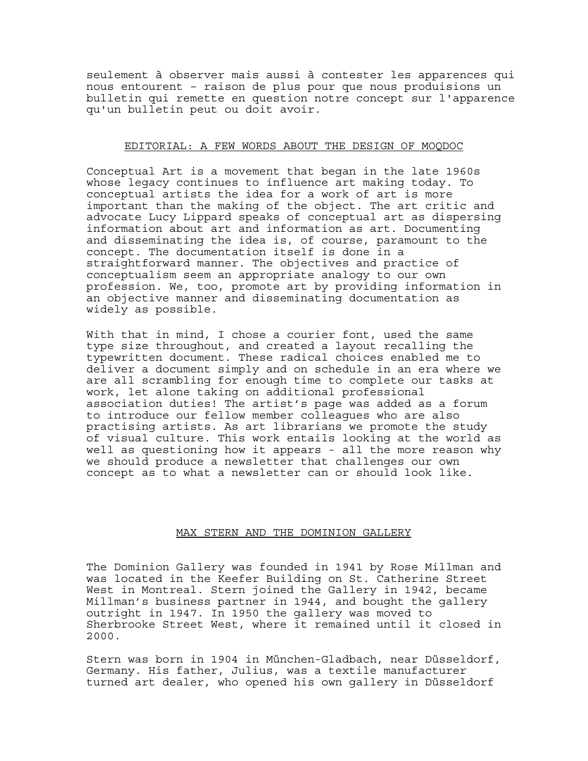seulement à observer mais aussi à contester les apparences qui nous entourent – raison de plus pour que nous produisions un bulletin qui remette en question notre concept sur l'apparence qu'un bulletin peut ou doit avoir.

# EDITORIAL: A FEW WORDS ABOUT THE DESIGN OF MOQDOC

Conceptual Art is a movement that began in the late 1960s whose legacy continues to influence art making today. To conceptual artists the idea for a work of art is more important than the making of the object. The art critic and advocate Lucy Lippard speaks of conceptual art as dispersing information about art and information as art. Documenting and disseminating the idea is, of course, paramount to the concept. The documentation itself is done in a straightforward manner. The objectives and practice of conceptualism seem an appropriate analogy to our own profession. We, too, promote art by providing information in an objective manner and disseminating documentation as widely as possible.

With that in mind, I chose a courier font, used the same type size throughout, and created a layout recalling the typewritten document. These radical choices enabled me to deliver a document simply and on schedule in an era where we are all scrambling for enough time to complete our tasks at work, let alone taking on additional professional association duties! The artist's page was added as a forum to introduce our fellow member colleagues who are also practising artists. As art librarians we promote the study of visual culture. This work entails looking at the world as well as questioning how it appears - all the more reason why we should produce a newsletter that challenges our own concept as to what a newsletter can or should look like.

#### MAX STERN AND THE DOMINION GALLERY

The Dominion Gallery was founded in 1941 by Rose Millman and was located in the Keefer Building on St. Catherine Street West in Montreal. Stern joined the Gallery in 1942, became Millman's business partner in 1944, and bought the gallery outright in 1947. In 1950 the gallery was moved to Sherbrooke Street West, where it remained until it closed in 2000.

Stern was born in 1904 in München-Gladbach, near Düsseldorf, Germany. His father, Julius, was a textile manufacturer turned art dealer, who opened his own gallery in Düsseldorf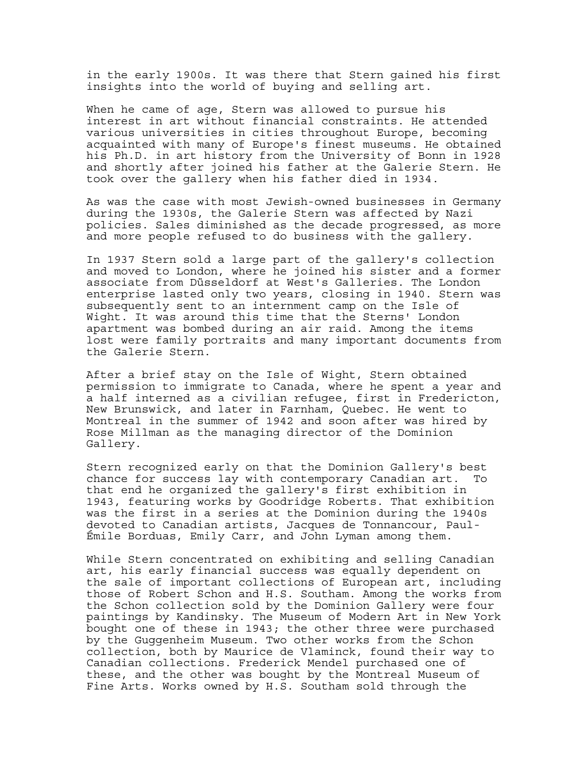in the early 1900s. It was there that Stern gained his first insights into the world of buying and selling art.

When he came of age, Stern was allowed to pursue his interest in art without financial constraints. He attended various universities in cities throughout Europe, becoming acquainted with many of Europe's finest museums. He obtained his Ph.D. in art history from the University of Bonn in 1928 and shortly after joined his father at the Galerie Stern. He took over the gallery when his father died in 1934.

As was the case with most Jewish-owned businesses in Germany during the 1930s, the Galerie Stern was affected by Nazi policies. Sales diminished as the decade progressed, as more and more people refused to do business with the gallery.

In 1937 Stern sold a large part of the gallery's collection and moved to London, where he joined his sister and a former associate from Düsseldorf at West's Galleries. The London enterprise lasted only two years, closing in 1940. Stern was subsequently sent to an internment camp on the Isle of Wight. It was around this time that the Sterns' London apartment was bombed during an air raid. Among the items lost were family portraits and many important documents from the Galerie Stern.

After a brief stay on the Isle of Wight, Stern obtained permission to immigrate to Canada, where he spent a year and a half interned as a civilian refugee, first in Fredericton, New Brunswick, and later in Farnham, Quebec. He went to Montreal in the summer of 1942 and soon after was hired by Rose Millman as the managing director of the Dominion Gallery.

Stern recognized early on that the Dominion Gallery's best chance for success lay with contemporary Canadian art. To that end he organized the gallery's first exhibition in 1943, featuring works by Goodridge Roberts. That exhibition was the first in a series at the Dominion during the 1940s devoted to Canadian artists, Jacques de Tonnancour, Paul-Émile Borduas, Emily Carr, and John Lyman among them.

While Stern concentrated on exhibiting and selling Canadian art, his early financial success was equally dependent on the sale of important collections of European art, including those of Robert Schon and H.S. Southam. Among the works from the Schon collection sold by the Dominion Gallery were four paintings by Kandinsky. The Museum of Modern Art in New York bought one of these in 1943; the other three were purchased by the Guggenheim Museum. Two other works from the Schon collection, both by Maurice de Vlaminck, found their way to Canadian collections. Frederick Mendel purchased one of these, and the other was bought by the Montreal Museum of Fine Arts. Works owned by H.S. Southam sold through the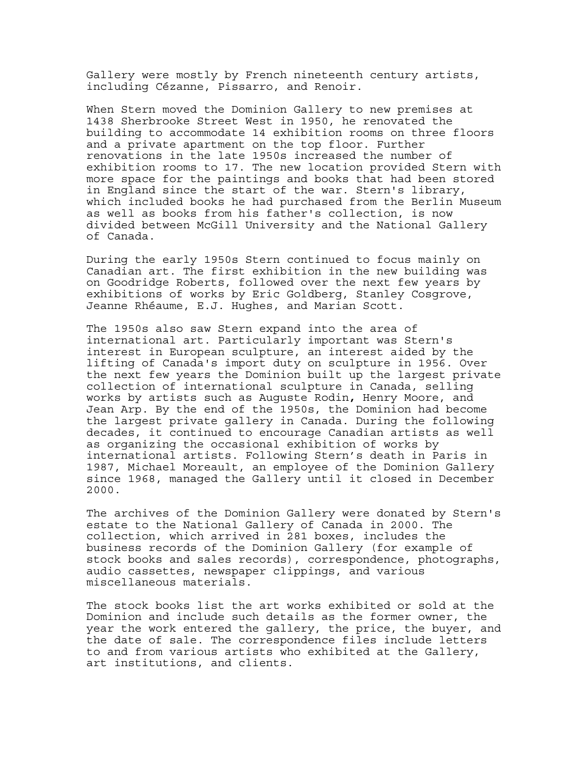Gallery were mostly by French nineteenth century artists, including Cézanne, Pissarro, and Renoir.

When Stern moved the Dominion Gallery to new premises at 1438 Sherbrooke Street West in 1950, he renovated the building to accommodate 14 exhibition rooms on three floors and a private apartment on the top floor. Further renovations in the late 1950s increased the number of exhibition rooms to 17. The new location provided Stern with more space for the paintings and books that had been stored in England since the start of the war. Stern's library, which included books he had purchased from the Berlin Museum as well as books from his father's collection, is now divided between McGill University and the National Gallery of Canada.

During the early 1950s Stern continued to focus mainly on Canadian art. The first exhibition in the new building was on Goodridge Roberts, followed over the next few years by exhibitions of works by Eric Goldberg, Stanley Cosgrove, Jeanne Rhéaume, E.J. Hughes, and Marian Scott.

The 1950s also saw Stern expand into the area of international art. Particularly important was Stern's interest in European sculpture, an interest aided by the lifting of Canada's import duty on sculpture in 1956. Over the next few years the Dominion built up the largest private collection of international sculpture in Canada, selling works by artists such as Auguste Rodin**,** Henry Moore, and Jean Arp. By the end of the 1950s, the Dominion had become the largest private gallery in Canada. During the following decades, it continued to encourage Canadian artists as well as organizing the occasional exhibition of works by international artists. Following Stern's death in Paris in 1987, Michael Moreault, an employee of the Dominion Gallery since 1968, managed the Gallery until it closed in December 2000.

The archives of the Dominion Gallery were donated by Stern's estate to the National Gallery of Canada in 2000. The collection, which arrived in 281 boxes, includes the business records of the Dominion Gallery (for example of stock books and sales records), correspondence, photographs, audio cassettes, newspaper clippings, and various miscellaneous materials.

The stock books list the art works exhibited or sold at the Dominion and include such details as the former owner, the year the work entered the gallery, the price, the buyer, and the date of sale. The correspondence files include letters to and from various artists who exhibited at the Gallery, art institutions, and clients.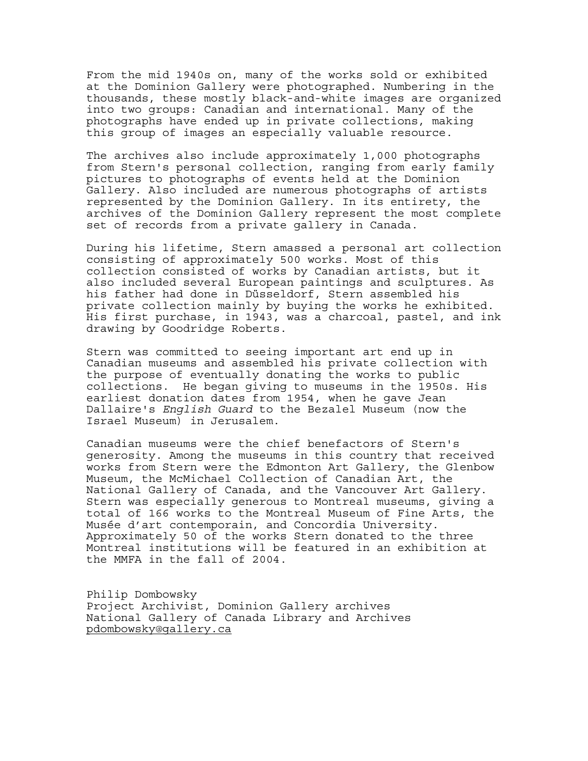From the mid 1940s on, many of the works sold or exhibited at the Dominion Gallery were photographed. Numbering in the thousands, these mostly black-and-white images are organized into two groups: Canadian and international. Many of the photographs have ended up in private collections, making this group of images an especially valuable resource.

The archives also include approximately 1,000 photographs from Stern's personal collection, ranging from early family pictures to photographs of events held at the Dominion Gallery. Also included are numerous photographs of artists represented by the Dominion Gallery. In its entirety, the archives of the Dominion Gallery represent the most complete set of records from a private gallery in Canada.

During his lifetime, Stern amassed a personal art collection consisting of approximately 500 works. Most of this collection consisted of works by Canadian artists, but it also included several European paintings and sculptures. As his father had done in Düsseldorf, Stern assembled his private collection mainly by buying the works he exhibited. His first purchase, in 1943, was a charcoal, pastel, and ink drawing by Goodridge Roberts.

Stern was committed to seeing important art end up in Canadian museums and assembled his private collection with the purpose of eventually donating the works to public collections. He began giving to museums in the 1950s. His earliest donation dates from 1954, when he gave Jean Dallaire's *English Guard* to the Bezalel Museum (now the Israel Museum) in Jerusalem.

Canadian museums were the chief benefactors of Stern's generosity. Among the museums in this country that received works from Stern were the Edmonton Art Gallery, the Glenbow Museum, the McMichael Collection of Canadian Art, the National Gallery of Canada, and the Vancouver Art Gallery. Stern was especially generous to Montreal museums, giving a total of 166 works to the Montreal Museum of Fine Arts, the Musée d'art contemporain, and Concordia University. Approximately 50 of the works Stern donated to the three Montreal institutions will be featured in an exhibition at the MMFA in the fall of 2004.

Philip Dombowsky Project Archivist, Dominion Gallery archives National Gallery of Canada Library and Archives pdombowsky@gallery.ca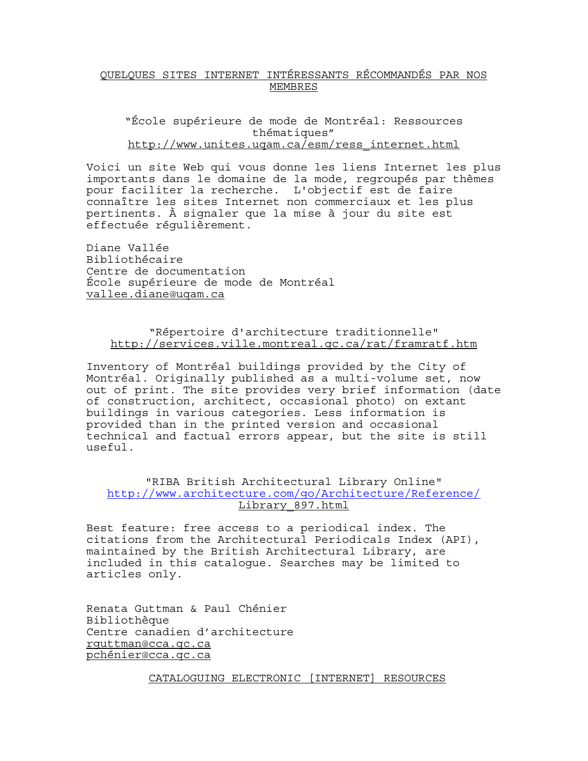# QUELQUES SITES INTERNET INTÉRESSANTS RÉCOMMANDÉS PAR NOS MEMBRES

"École supérieure de mode de Montréal: Ressources thématiques" http://www.unites.uqam.ca/esm/ress\_internet.html

Voici un site Web qui vous donne les liens Internet les plus importants dans le domaine de la mode, regroupés par thèmes pour faciliter la recherche. L'objectif est de faire connaître les sites Internet non commerciaux et les plus pertinents. À signaler que la mise à jour du site est effectuée régulièrement.

Diane Vallée Bibliothécaire Centre de documentation École supérieure de mode de Montréal vallee.diane@uqam.ca

# "Répertoire d'architecture traditionnelle" http://services.ville.montreal.qc.ca/rat/framratf.htm

Inventory of Montréal buildings provided by the City of Montréal. Originally published as a multi-volume set, now out of print. The site provides very brief information (date of construction, architect, occasional photo) on extant buildings in various categories. Less information is provided than in the printed version and occasional technical and factual errors appear, but the site is still useful.

## "RIBA British Architectural Library Online" http://www.architecture.com/go/Architecture/Reference/ Library\_897.html

Best feature: free access to a periodical index. The citations from the Architectural Periodicals Index (API), maintained by the British Architectural Library, are included in this catalogue. Searches may be limited to articles only.

Renata Guttman & Paul Chénier Bibliothèque Centre canadien d'architecture rguttman@cca.qc.ca pchénier@cca.qc.ca

CATALOGUING ELECTRONIC [INTERNET] RESOURCES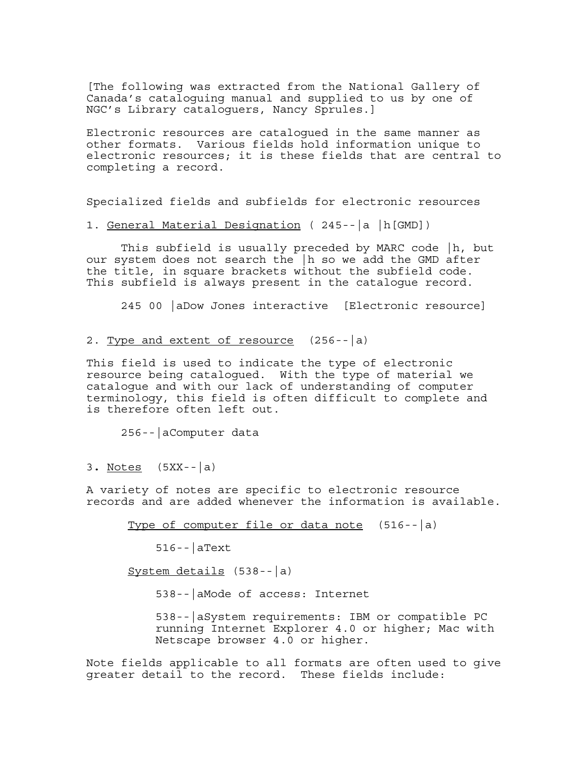[The following was extracted from the National Gallery of Canada's cataloguing manual and supplied to us by one of NGC's Library cataloguers, Nancy Sprules.]

Electronic resources are catalogued in the same manner as other formats. Various fields hold information unique to electronic resources; it is these fields that are central to completing a record.

Specialized fields and subfields for electronic resources

1. General Material Designation ( 245--|a |h[GMD]) This subfield is usually preceded by MARC code |h, but our system does not search the |h so we add the GMD after the title, in square brackets without the subfield code. This subfield is always present in the catalogue record.

245 00 |aDow Jones interactive [Electronic resource]

2. Type and extent of resource (256--|a)

This field is used to indicate the type of electronic resource being catalogued. With the type of material we catalogue and with our lack of understanding of computer terminology, this field is often difficult to complete and is therefore often left out.

256--|aComputer data

3**.** Notes (5XX--|a)

A variety of notes are specific to electronic resource records and are added whenever the information is available.

Type of computer file or data note  $(516 - |a)$ 

 $516 - |$ aText

System details (538--|a)

538--|aMode of access: Internet

538--|aSystem requirements: IBM or compatible PC running Internet Explorer 4.0 or higher; Mac with Netscape browser 4.0 or higher.

Note fields applicable to all formats are often used to give greater detail to the record. These fields include: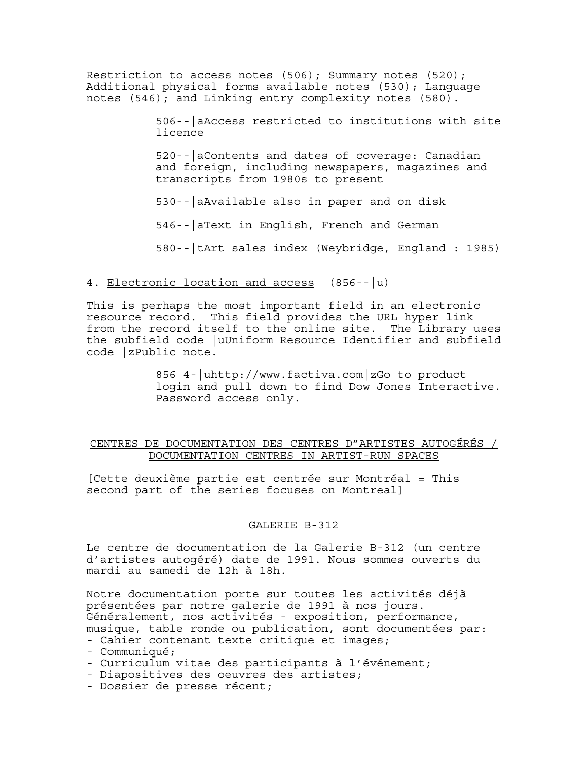Restriction to access notes  $(506)$ ; Summary notes  $(520)$ ; Additional physical forms available notes (530); Language notes (546); and Linking entry complexity notes (580).

> 506--|aAccess restricted to institutions with site licence

520--|aContents and dates of coverage: Canadian and foreign, including newspapers, magazines and transcripts from 1980s to present

530--|aAvailable also in paper and on disk

546--|aText in English, French and German

580--|tArt sales index (Weybridge, England : 1985)

### 4. Electronic location and access (856--|u)

This is perhaps the most important field in an electronic resource record. This field provides the URL hyper link from the record itself to the online site. The Library uses the subfield code |uUniform Resource Identifier and subfield code |zPublic note.

> 856 4-|uhttp://www.factiva.com|zGo to product login and pull down to find Dow Jones Interactive. Password access only.

### CENTRES DE DOCUMENTATION DES CENTRES D"ARTISTES AUTOGÉRÉS / DOCUMENTATION CENTRES IN ARTIST-RUN SPACES

[Cette deuxième partie est centrée sur Montréal = This second part of the series focuses on Montreal]

#### GALERIE B-312

Le centre de documentation de la Galerie B-312 (un centre d'artistes autogéré) date de 1991. Nous sommes ouverts du mardi au samedi de 12h à 18h.

Notre documentation porte sur toutes les activités déjà présentées par notre galerie de 1991 à nos jours. Généralement, nos activités - exposition, performance, musique, table ronde ou publication, sont documentées par:

- Cahier contenant texte critique et images;

- Communiqué;
- Curriculum vitae des participants à l'événement;
- Diapositives des oeuvres des artistes;
- Dossier de presse récent;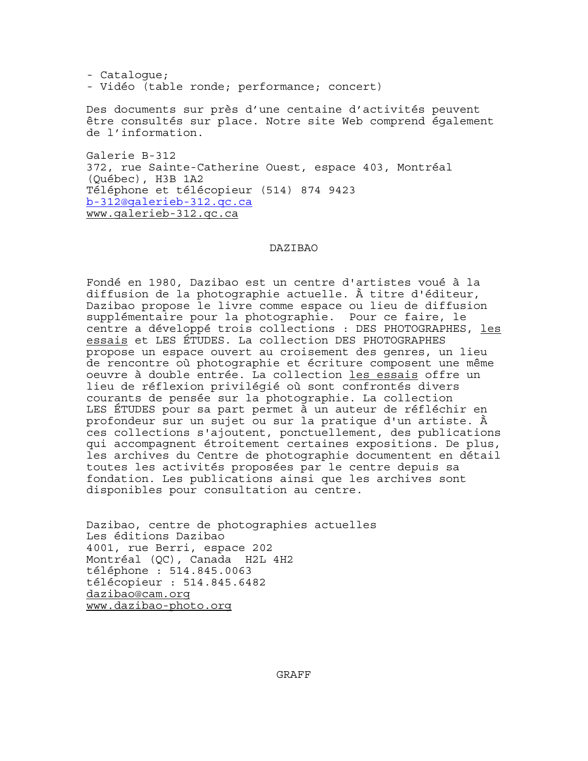- Catalogue; - Vidéo (table ronde; performance; concert)

Des documents sur près d'une centaine d'activités peuvent être consultés sur place. Notre site Web comprend également de l'information.

Galerie B-312 372, rue Sainte-Catherine Ouest, espace 403, Montréal (Québec), H3B 1A2 Téléphone et télécopieur (514) 874 9423 b-312@galerieb-312.qc.ca www.galerieb-312.qc.ca

#### DAZIBAO

Fondé en 1980, Dazibao est un centre d'artistes voué à la diffusion de la photographie actuelle. À titre d'éditeur, Dazibao propose le livre comme espace ou lieu de diffusion supplémentaire pour la photographie. Pour ce faire, le centre a développé trois collections : DES PHOTOGRAPHES, les essais et LES ÉTUDES. La collection DES PHOTOGRAPHES propose un espace ouvert au croisement des genres, un lieu de rencontre où photographie et écriture composent une même oeuvre à double entrée. La collection les essais offre un lieu de réflexion privilégié où sont confrontés divers courants de pensée sur la photographie. La collection LES ÉTUDES pour sa part permet à un auteur de réfléchir en profondeur sur un sujet ou sur la pratique d'un artiste. À ces collections s'ajoutent, ponctuellement, des publications qui accompagnent étroitement certaines expositions. De plus, les archives du Centre de photographie documentent en détail toutes les activités proposées par le centre depuis sa fondation. Les publications ainsi que les archives sont disponibles pour consultation au centre.

Dazibao, centre de photographies actuelles Les éditions Dazibao 4001, rue Berri, espace 202 Montréal (QC), Canada H2L 4H2 téléphone : 514.845.0063 télécopieur : 514.845.6482 dazibao@cam.org www.dazibao-photo.org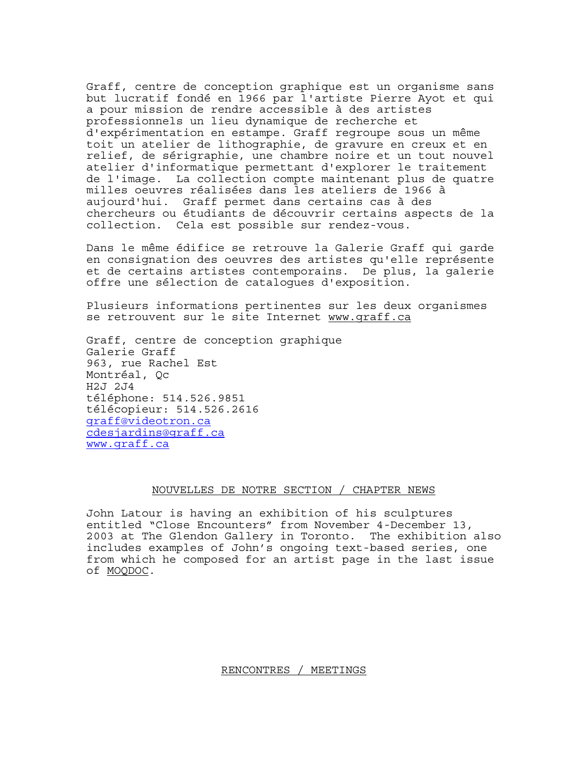Graff, centre de conception graphique est un organisme sans but lucratif fondé en 1966 par l'artiste Pierre Ayot et qui a pour mission de rendre accessible à des artistes professionnels un lieu dynamique de recherche et d'expérimentation en estampe. Graff regroupe sous un même toit un atelier de lithographie, de gravure en creux et en relief, de sérigraphie, une chambre noire et un tout nouvel atelier d'informatique permettant d'explorer le traitement de l'image. La collection compte maintenant plus de quatre milles oeuvres réalisées dans les ateliers de 1966 à aujourd'hui. Graff permet dans certains cas à des chercheurs ou étudiants de découvrir certains aspects de la collection. Cela est possible sur rendez-vous.

Dans le même édifice se retrouve la Galerie Graff qui garde en consignation des oeuvres des artistes qu'elle représente et de certains artistes contemporains. De plus, la galerie offre une sélection de catalogues d'exposition.

Plusieurs informations pertinentes sur les deux organismes se retrouvent sur le site Internet www.qraff.ca

Graff, centre de conception graphique Galerie Graff 963, rue Rachel Est Montréal, Qc H2J 2J4 téléphone: 514.526.9851 télécopieur: 514.526.2616 graff@videotron.ca cdesjardins@graff.ca www.graff.ca

### NOUVELLES DE NOTRE SECTION / CHAPTER NEWS

John Latour is having an exhibition of his sculptures entitled "Close Encounters" from November 4-December 13, 2003 at The Glendon Gallery in Toronto. The exhibition also includes examples of John's ongoing text-based series, one from which he composed for an artist page in the last issue of MOQDOC.

RENCONTRES / MEETINGS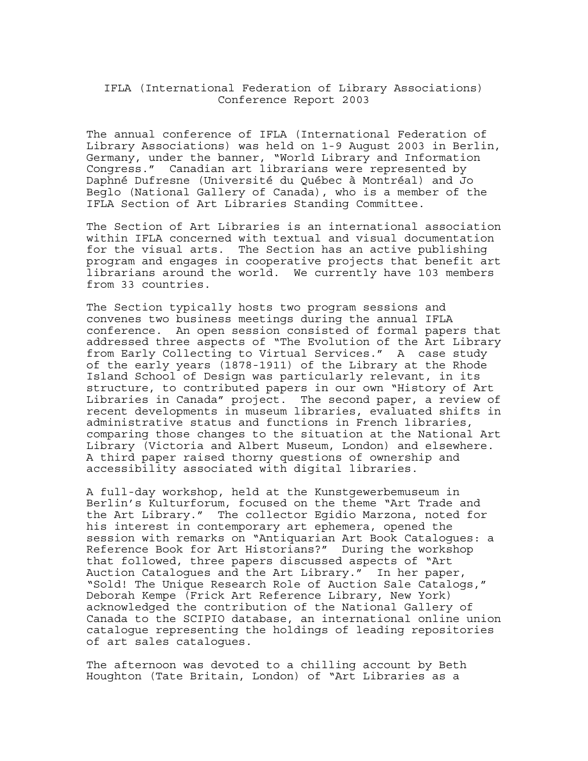### IFLA (International Federation of Library Associations) Conference Report 2003

The annual conference of IFLA (International Federation of Library Associations) was held on 1-9 August 2003 in Berlin, Germany, under the banner, "World Library and Information Congress." Canadian art librarians were represented by Daphné Dufresne (Université du Québec à Montréal) and Jo Beglo (National Gallery of Canada), who is a member of the IFLA Section of Art Libraries Standing Committee.

The Section of Art Libraries is an international association within IFLA concerned with textual and visual documentation for the visual arts. The Section has an active publishing program and engages in cooperative projects that benefit art librarians around the world. We currently have 103 members from 33 countries.

The Section typically hosts two program sessions and convenes two business meetings during the annual IFLA conference. An open session consisted of formal papers that addressed three aspects of "The Evolution of the Art Library from Early Collecting to Virtual Services." A case study of the early years (1878-1911) of the Library at the Rhode Island School of Design was particularly relevant, in its structure, to contributed papers in our own "History of Art Libraries in Canada" project. The second paper, a review of recent developments in museum libraries, evaluated shifts in administrative status and functions in French libraries, comparing those changes to the situation at the National Art Library (Victoria and Albert Museum, London) and elsewhere. A third paper raised thorny questions of ownership and accessibility associated with digital libraries.

A full-day workshop, held at the Kunstgewerbemuseum in Berlin's Kulturforum, focused on the theme "Art Trade and the Art Library." The collector Egidio Marzona, noted for his interest in contemporary art ephemera, opened the session with remarks on "Antiquarian Art Book Catalogues: a Reference Book for Art Historians?" During the workshop that followed, three papers discussed aspects of "Art Auction Catalogues and the Art Library." In her paper, "Sold! The Unique Research Role of Auction Sale Catalogs," Deborah Kempe (Frick Art Reference Library, New York) acknowledged the contribution of the National Gallery of Canada to the SCIPIO database, an international online union catalogue representing the holdings of leading repositories of art sales catalogues.

The afternoon was devoted to a chilling account by Beth Houghton (Tate Britain, London) of "Art Libraries as a